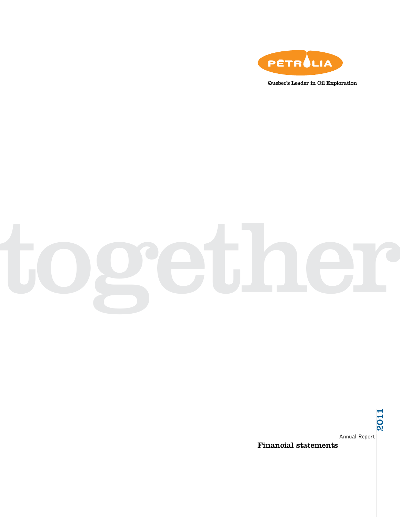

Quebec's Leader in Oil Exploration

# together

Annual Report

2011

Financial statements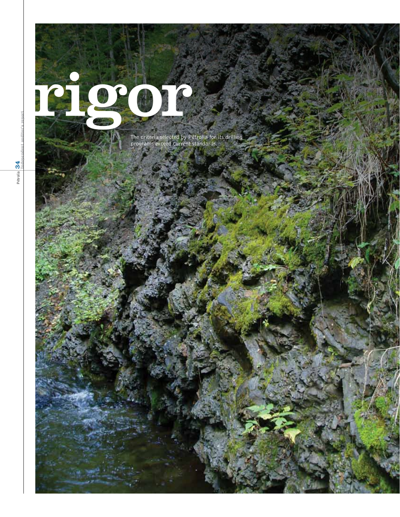# rigor p

The criteria selected by Pétrolia for its drilling programs exceed current standards.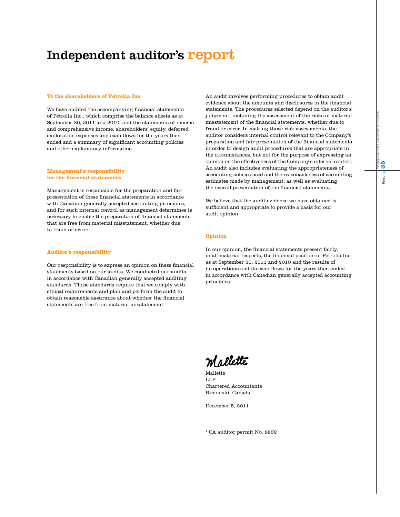# Independent auditor's report

#### **To the shareholders of Pétrolia Inc.**

We have audited the accompanying financial statements of Pétrolia Inc., which comprise the balance sheets as at September 30, 2011 and 2010, and the statements of income and comprehensive income, shareholders' equity, deferred exploration expenses and cash flows for the years then ended and a summary of significant accounting policies and other explanatory information.

#### **Management's responsibility for the financial statements**

Management is responsible for the preparation and fair presentation of these financial statements in accordance with Canadian generally accepted accounting principles, and for such internal control as management determines is necessary to enable the preparation of financial statements that are free from material misstatement, whether due to fraud or error.

#### **Auditor's responsibility**

Our responsibility is to express an opinion on these financial statements based on our audits. We conducted our audits in accordance with Canadian generally accepted auditing standards. Those standards require that we comply with ethical requirements and plan and perform the audit to obtain reasonable assurance about whether the financial statements are free from material misstatement.

An audit involves performing procedures to obtain audit evidence about the amounts and disclosures in the financial statements. The procedures selected depend on the auditor's judgment, including the assessment of the risks of material misstatement of the financial statements, whether due to fraud or error. In making those risk assessments, the auditor considers internal control relevant to the Company's preparation and fair presentation of the financial statements in order to design audit procedures that are appropriate in the circumstances, but not for the purpose of expressing an opinion on the effectiveness of the Company's internal control. An audit also includes evaluating the appropriateness of accounting policies used and the reasonableness of accounting estimates made by management, as well as evaluating the overall presentation of the financial statements.

We believe that the audit evidence we have obtained is sufficient and appropriate to provide a basis for our audit opinion.

#### **Opinion**

In our opinion, the financial statements present fairly, in all material respects, the financial position of Pétrolia Inc. as at September 30, 2011 and 2010 and the results of its operations and its cash flows for the years then ended in accordance with Canadian generally accepted accounting principles.

Mallette

Mallette LLP Chartered Accountants Rimouski, Canada

December 5, 2011

<sup>1</sup> CA auditor permit No. 8832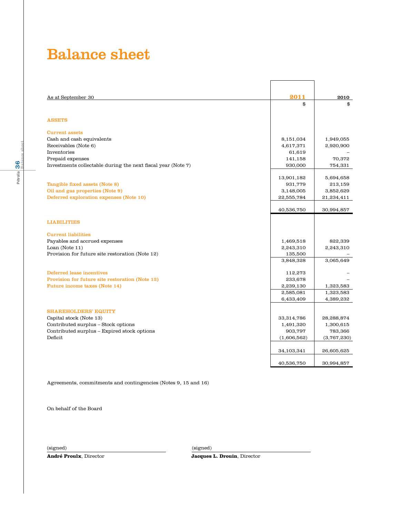# Balance sheet

| As at September 30                                           | 2011               | 2010              |
|--------------------------------------------------------------|--------------------|-------------------|
|                                                              | \$                 | \$                |
|                                                              |                    |                   |
| <b>ASSETS</b>                                                |                    |                   |
|                                                              |                    |                   |
| <b>Current assets</b>                                        |                    |                   |
| Cash and cash equivalents                                    | 8,151,034          | 1,949,055         |
| Receivables (Note 6)<br>Inventories                          | 4,617,371          | 2,920,900         |
| Prepaid expenses                                             | 61,619             |                   |
| Investments collectable during the next fiscal year (Note 7) | 141,158<br>930,000 | 70,372<br>754,331 |
|                                                              |                    |                   |
|                                                              | 13,901,182         | 5,694,658         |
| Tangible fixed assets (Note 8)                               | 931,779            | 213,159           |
| Oil and gas properties (Note 9)                              | 3,148,005          | 3,852,629         |
| Deferred exploration expenses (Note 10)                      | 22,555,784         | 21,234,411        |
|                                                              |                    |                   |
|                                                              | 40,536,750         | 30,994,857        |
|                                                              |                    |                   |
| <b>LIABILITIES</b>                                           |                    |                   |
| <b>Current liabilities</b>                                   |                    |                   |
| Payables and accrued expenses                                | 1,469,518          | 822,339           |
| Loan (Note $11$ )                                            | 2,243,310          | 2,243,310         |
| Provision for future site restoration (Note 12)              | 135,500            |                   |
|                                                              | 3,848,328          | 3,065,649         |
|                                                              |                    |                   |
| <b>Deferred lease incentives</b>                             | 112,273            |                   |
| Provision for future site restoration (Note 12)              | 233,678            |                   |
| <b>Future income taxes (Note 14)</b>                         | 2,239,130          | 1,323,583         |
|                                                              | 2,585,081          | 1,323,583         |
|                                                              | 6,433,409          | 4,389,232         |
|                                                              |                    |                   |
| <b>SHAREHOLDERS' EQUITY</b>                                  |                    |                   |
| Capital stock (Note 13)                                      | 33,314,786         | 28,288,874        |
| Contributed surplus - Stock options                          | 1,491,320          | 1,300,615         |
| Contributed surplus - Expired stock options                  | 903,797            | 783,366           |
| Deficit                                                      | (1,606,562)        | (3,767,230)       |
|                                                              |                    |                   |
|                                                              | 34,103,341         | 26,605,625        |
|                                                              | 40,536,750         | 30,994,857        |
|                                                              |                    |                   |

Agreements, commitments and contingencies (Notes 9, 15 and 16)

On behalf of the Board

(signed) (signed)

**André Proulx**, Director **Jacques L. Drouin**, Director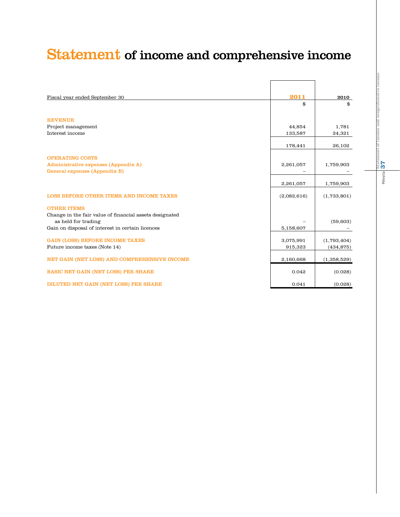# Statement of income and comprehensive income

| Fiscal year ended September 30                                                 | 2011        | 2010        |
|--------------------------------------------------------------------------------|-------------|-------------|
|                                                                                | \$          | \$          |
| <b>REVENUE</b>                                                                 |             |             |
| Project management                                                             | 44,854      | 1,781       |
| Interest income                                                                | 133,587     | 24,321      |
|                                                                                | 178,441     | 26,102      |
| <b>OPERATING COSTS</b>                                                         |             |             |
| Administrative expenses (Appendix A)                                           | 2,261,057   | 1,759,903   |
| General expenses (Appendix B)                                                  |             |             |
|                                                                                | 2,261,057   | 1,759,903   |
| <b>LOSS BEFORE OTHER ITEMS AND INCOME TAXES</b>                                | (2,082,616) | (1,733,801) |
| <b>OTHER ITEMS</b>                                                             |             |             |
| Change in the fair value of financial assets designated<br>as held for trading |             | (59, 603)   |
| Gain on disposal of interest in certain licences                               | 5,158,607   |             |
| <b>GAIN (LOSS) BEFORE INCOME TAXES</b>                                         | 3,075,991   | (1,793,404) |
| Future income taxes (Note 14)                                                  | 915,323     | (434, 875)  |
| NET GAIN (NET LOSS) AND COMPREHENSIVE INCOME                                   | 2,160,668   | (1,358,529) |
| <b>BASIC NET GAIN (NET LOSS) PER SHARE</b>                                     | 0.042       | (0.028)     |
| <b>DILUTED NET GAIN (NET LOSS) PER SHARE</b>                                   | 0.041       | (0.028)     |

Pétrolia $|\frac{\text{State}}{\textbf{37}}$ Pétrolia 37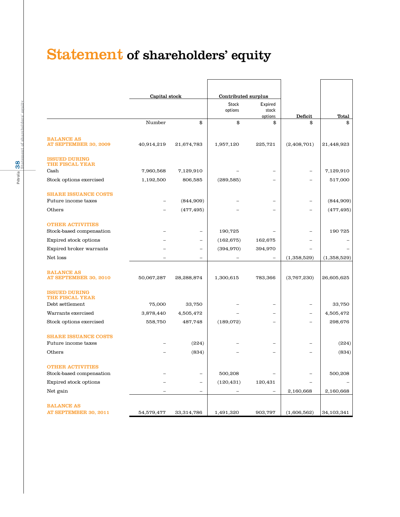# Statement of shareholders' equity

|                                                     | Capital stock |                          | Contributed surplus     |                             |                          |             |
|-----------------------------------------------------|---------------|--------------------------|-------------------------|-----------------------------|--------------------------|-------------|
|                                                     |               |                          | <b>Stock</b><br>options | Expired<br>stock<br>options | Deficit                  | Total       |
|                                                     | Number        | \$                       | \$                      | \$                          | \$                       | \$          |
| <b>BALANCE AS</b><br>AT SEPTEMBER 30, 2009          | 40,914,219    | 21,674,783               | 1,957,120               | 225,721                     | (2,408,701)              | 21,448,923  |
| <b>ISSUED DURING</b><br><b>THE FISCAL YEAR</b>      |               |                          |                         |                             |                          |             |
| Cash                                                | 7,960,568     | 7,129,910                |                         |                             |                          | 7,129,910   |
| Stock options exercised                             | 1,192,500     | 806,585                  | (289, 585)              | $\equiv$                    | $\equiv$                 | 517,000     |
| <b>SHARE ISSUANCE COSTS</b><br>Future income taxes  |               | (844,909)                |                         |                             |                          | (844,909)   |
| Others                                              |               | (477, 495)               |                         |                             |                          | (477, 495)  |
| <b>OTHER ACTIVITIES</b><br>Stock-based compensation |               |                          | 190,725                 |                             |                          | 190 725     |
| Expired stock options                               |               | $\overline{\phantom{0}}$ | (162, 675)              | 162,675                     |                          |             |
| Expired broker warrants                             |               | $\overline{a}$           | (394, 970)              | 394,970                     |                          |             |
| Net loss                                            |               | $\overline{\phantom{0}}$ |                         |                             | (1,358,529)              | (1,358,529) |
| <b>BALANCE AS</b><br>AT SEPTEMBER 30, 2010          | 50,067,287    | 28,288,874               | 1,300,615               | 783,366                     | (3,767,230)              | 26,605,625  |
| <b>ISSUED DURING</b><br>THE FISCAL YEAR             |               |                          |                         |                             |                          |             |
| Debt settlement                                     | 75,000        | 33,750                   |                         |                             |                          | 33,750      |
| Warrants exercised                                  | 3,878,440     | 4,505,472                |                         | -                           | $\overline{\phantom{0}}$ | 4,505,472   |
| Stock options exercised                             | 558,750       | 487,748                  | (189,072)               | $\overline{\phantom{0}}$    |                          | 298,676     |
| <b>SHARE ISSUANCE COSTS</b><br>Future income taxes  |               | (224)                    |                         |                             |                          | (224)       |
| Others                                              |               | (834)                    |                         |                             |                          | (834)       |
| <b>OTHER ACTIVITIES</b><br>Stock-based compensation |               | $\overline{\phantom{0}}$ | 500,208                 |                             |                          | 500,208     |
| Expired stock options                               |               | $\overline{a}$           | (120, 431)              | 120,431                     |                          |             |
| Net gain                                            |               | $\overline{\phantom{0}}$ |                         |                             | 2,160,668                | 2,160,668   |
| <b>BALANCE AS</b><br>AT SEPTEMBER 30, 2011          | 54,579,477    | 33,314,786               | 1,491,320               | 903,797                     | (1,606,562)              | 34,103,341  |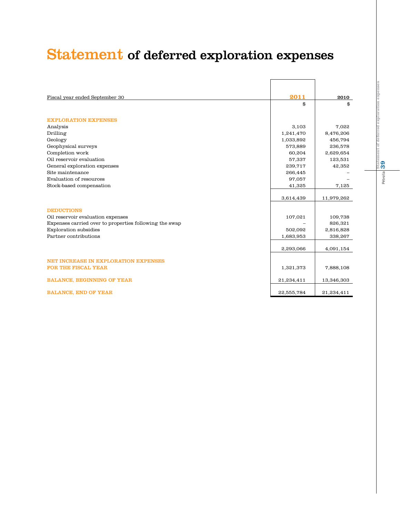# Statement of deferred exploration expenses

| Fiscal year ended September 30                         | 2011       | 2010       |
|--------------------------------------------------------|------------|------------|
|                                                        | \$         | \$         |
| <b>EXPLORATION EXPENSES</b>                            |            |            |
| Analysis                                               | 3,103      | 7,022      |
| Drilling                                               | 1,241,470  | 8,476,206  |
| Geology                                                | 1,033,892  | 456,794    |
| Geophysical surveys                                    | 573,889    | 236,578    |
| Completion work                                        | 60,204     | 2,629,654  |
| Oil reservoir evaluation                               | 57,337     | 123,531    |
| General exploration expenses                           | 239,717    | 42,352     |
| Site maintenance                                       | 266,445    |            |
| Evaluation of resources                                | 97,057     |            |
| Stock-based compensation                               | 41,325     | 7,125      |
|                                                        |            |            |
|                                                        | 3,614,439  | 11,979,262 |
| <b>DEDUCTIONS</b>                                      |            |            |
| Oil reservoir evaluation expenses                      | 107,021    | 109,738    |
| Expenses carried over to properties following the swap |            | 826,321    |
| <b>Exploration</b> subsidies                           | 502,092    | 2,816,828  |
| Partner contributions                                  | 1,683,953  | 338,267    |
|                                                        |            |            |
|                                                        | 2,293,066  | 4,091,154  |
|                                                        |            |            |
| NET INCREASE IN EXPLORATION EXPENSES                   |            |            |
| <b>FOR THE FISCAL YEAR</b>                             | 1,321,373  | 7,888,108  |
| <b>BALANCE, BEGINNING OF YEAR</b>                      | 21,234,411 | 13,346,303 |
| <b>BALANCE, END OF YEAR</b>                            | 22,555,784 | 21,234,411 |

Pétrolia 39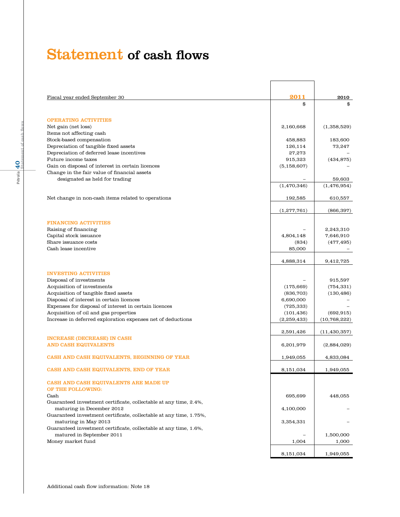# Statement of cash flows

| Fiscal year ended September 30                                                                   | 2011                    | 2010           |
|--------------------------------------------------------------------------------------------------|-------------------------|----------------|
|                                                                                                  | \$                      | \$             |
| <b>OPERATING ACTIVITIES</b>                                                                      |                         |                |
| Net gain (net loss)                                                                              | 2,160,668               | (1,358,529)    |
| Items not affecting cash                                                                         |                         |                |
| Stock-based compensation                                                                         | 458,883                 | 183,600        |
| Depreciation of tangible fixed assets                                                            | 126,114                 | 73,247         |
| Depreciation of deferred lease incentives                                                        | 27,273                  |                |
| Future income taxes                                                                              | 915,323                 | (434, 875)     |
| Gain on disposal of interest in certain licences<br>Change in the fair value of financial assets | (5, 158, 607)           |                |
| designated as held for trading                                                                   |                         | 59,603         |
|                                                                                                  | (1,470,346)             | (1,476,954)    |
|                                                                                                  |                         |                |
| Net change in non-cash items related to operations                                               | 192,585                 | 610,557        |
|                                                                                                  | (1,277,761)             | (866, 397)     |
| <b>FINANCING ACTIVITIES</b>                                                                      |                         |                |
| Raising of financing                                                                             |                         | 2,243,310      |
| Capital stock issuance                                                                           | 4,804,148               | 7,646,910      |
| Share issuance costs                                                                             | (834)                   | (477, 495)     |
| Cash lease incentive                                                                             | 85,000                  |                |
|                                                                                                  | 4,888,314               | 9,412,725      |
| <b>INVESTING ACTIVITIES</b>                                                                      |                         |                |
| Disposal of investments                                                                          |                         | 915,597        |
| Acquisition of investments<br>Acquisition of tangible fixed assets                               | (175, 669)              | (754, 331)     |
| Disposal of interest in certain licences                                                         | (836, 703)<br>6,690,000 | (130, 486)     |
| Expenses for disposal of interest in certain licences                                            | (725, 333)              |                |
| Acquisition of oil and gas properties                                                            | (101, 436)              | (692, 915)     |
| Increase in deferred exploration expenses net of deductions                                      | (2,259,433)             | (10,768,222)   |
|                                                                                                  | 2,591,426               | (11, 430, 357) |
| <b>INCREASE (DECREASE) IN CASH</b>                                                               |                         |                |
| <b>AND CASH EQUIVALENTS</b>                                                                      | 6,201,979               | (2,884,029)    |
| CASH AND CASH EQUIVALENTS, BEGINNING OF YEAR                                                     | 1,949,055               | 4,833,084      |
| CASH AND CASH EQUIVALENTS, END OF YEAR                                                           | 8,151,034               | 1,949,055      |
| CASH AND CASH EQUIVALENTS ARE MADE UP                                                            |                         |                |
| OF THE FOLLOWING:                                                                                |                         |                |
| Cash                                                                                             | 695,699                 | 448,055        |
| Guaranteed investment certificate, collectable at any time, 2.4%,                                |                         |                |
| maturing in December 2012                                                                        | 4,100,000               |                |
| Guaranteed investment certificate, collectable at any time, 1.75%,                               |                         |                |
| maturing in May 2013<br>Guaranteed investment certificate, collectable at any time, 1.6%,        | 3,354,331               |                |
| matured in September 2011                                                                        |                         | 1,500,000      |
| Money market fund                                                                                | 1,004                   | 1,000          |
|                                                                                                  |                         |                |
|                                                                                                  | 8,151,034               | 1,949,055      |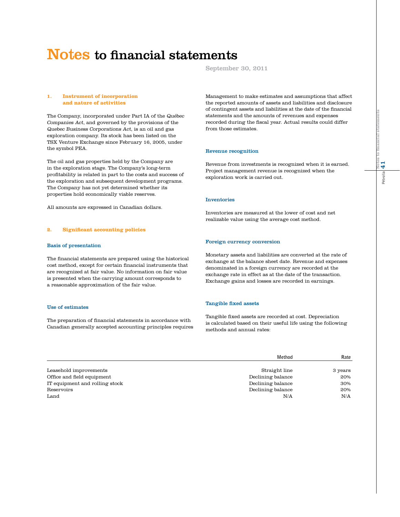#### September 30, 2011

#### **1. Instrument of incorporation and nature of activities**

The Company, incorporated under Part IA of the Québec Companies Act, and governed by the provisions of the Quebec Business Corporations Act, is an oil and gas exploration company. Its stock has been listed on the TSX Venture Exchange since February 16, 2005, under the symbol PEA.

The oil and gas properties held by the Company are in the exploration stage. The Company's long-term profitability is related in part to the costs and success of the exploration and subsequent development programs. The Company has not yet determined whether its properties hold economically viable reserves.

All amounts are expressed in Canadian dollars.

#### **2. Significant accounting policies**

#### Basis of presentation

The financial statements are prepared using the historical cost method, except for certain financial instruments that are recognized at fair value. No information on fair value is presented when the carrying amount corresponds to a reasonable approximation of the fair value.

#### Use of estimates

The preparation of financial statements in accordance with Canadian generally accepted accounting principles requires Management to make estimates and assumptions that affect the reported amounts of assets and liabilities and disclosure of contingent assets and liabilities at the date of the financial statements and the amounts of revenues and expenses recorded during the fiscal year. Actual results could differ from those estimates.

#### Revenue recognition

Revenue from investments is recognized when it is earned. Project management revenue is recognized when the exploration work is carried out.

#### Inventories

Inventories are measured at the lower of cost and net realizable value using the average cost method.

#### Foreign currency conversion

Monetary assets and liabilities are converted at the rate of exchange at the balance sheet date. Revenue and expenses denominated in a foreign currency are recorded at the exchange rate in effect as at the date of the transaction. Exchange gains and losses are recorded in earnings.

#### Tangible fixed assets

Tangible fixed assets are recorded at cost. Depreciation is calculated based on their useful life using the following methods and annual rates:

|                                | Method            | Rate    |
|--------------------------------|-------------------|---------|
| Leasehold improvements         | Straight line     | 3 years |
| Office and field equipment     | Declining balance | 20%     |
| IT equipment and rolling stock | Declining balance | 30%     |
| Reservoirs                     | Declining balance | 20%     |
| Land                           | N/A               | N/A     |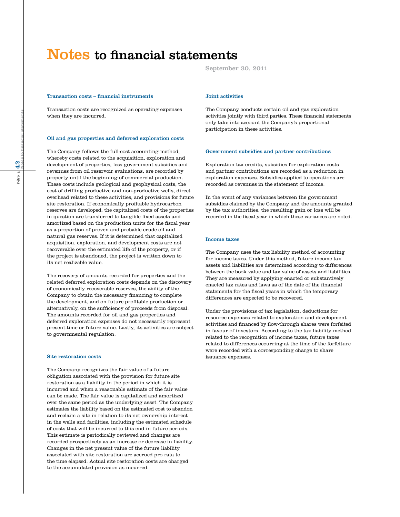#### Transaction costs – financial instruments

Transaction costs are recognized as operating expenses when they are incurred.

#### Oil and gas properties and deferred exploration costs

The Company follows the full-cost accounting method, whereby costs related to the acquisition, exploration and development of properties, less government subsidies and revenues from oil reservoir evaluations, are recorded by property until the beginning of commercial production. These costs include geological and geophysical costs, the cost of drilling productive and non-productive wells, direct overhead related to these activities, and provisions for future site restoration. If economically profitable hydrocarbon reserves are developed, the capitalized costs of the properties in question are transferred to tangible fixed assets and amortized based on the production units for the fiscal year as a proportion of proven and probable crude oil and natural gas reserves. If it is determined that capitalized acquisition, exploration, and development costs are not recoverable over the estimated life of the property, or if the project is abandoned, the project is written down to its net realizable value.

The recovery of amounts recorded for properties and the related deferred exploration costs depends on the discovery of economically recoverable reserves, the ability of the Company to obtain the necessary financing to complete the development, and on future profitable production or alternatively, on the sufficiency of proceeds from disposal. The amounts recorded for oil and gas properties and deferred exploration expenses do not necessarily represent present-time or future value. Lastly, its activities are subject to governmental regulation.

#### Site restoration costs

The Company recognizes the fair value of a future obligation associated with the provision for future site restoration as a liability in the period in which it is incurred and when a reasonable estimate of the fair value can be made. The fair value is capitalized and amortized over the same period as the underlying asset. The Company estimates the liability based on the estimated cost to abandon and reclaim a site in relation to its net ownership interest in the wells and facilities, including the estimated schedule of costs that will be incurred to this end in future periods. This estimate is periodically reviewed and changes are recorded prospectively as an increase or decrease in liability. Changes in the net present value of the future liability associated with site restoration are accrued pro rata to the time elapsed. Actual site restoration costs are charged to the accumulated provision as incurred.

September 30, 2011

#### Joint activities

The Company conducts certain oil and gas exploration activities jointly with third parties. These financial statements only take into account the Company's proportional participation in these activities.

#### Government subsidies and partner contributions

Exploration tax credits, subsidies for exploration costs and partner contributions are recorded as a reduction in exploration expenses. Subsidies applied to operations are recorded as revenues in the statement of income.

In the event of any variances between the government subsidies claimed by the Company and the amounts granted by the tax authorities, the resulting gain or loss will be recorded in the fiscal year in which these variances are noted.

#### Income taxes

The Company uses the tax liability method of accounting for income taxes. Under this method, future income tax assets and liabilities are determined according to differences between the book value and tax value of assets and liabilities. They are measured by applying enacted or substantively enacted tax rates and laws as of the date of the financial statements for the fiscal years in which the temporary differences are expected to be recovered.

Under the provisions of tax legislation, deductions for resource expenses related to exploration and development activities and financed by flow-through shares were forfeited in favour of investors. According to the tax liability method related to the recognition of income taxes, future taxes related to differences occurring at the time of the forfeiture were recorded with a corresponding charge to share issuance expenses.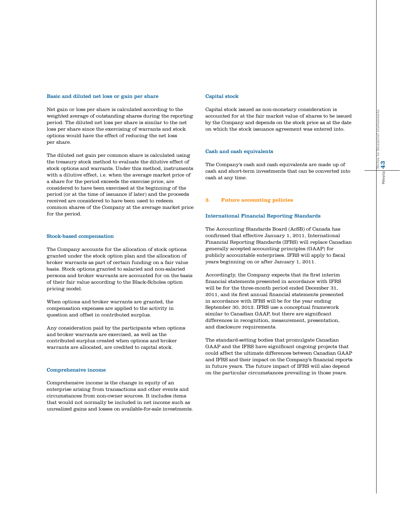#### Basic and diluted net loss or gain per share

Net gain or loss per share is calculated according to the weighted average of outstanding shares during the reporting period. The diluted net loss per share is similar to the net loss per share since the exercising of warrants and stock options would have the effect of reducing the net loss per share.

The diluted net gain per common share is calculated using the treasury stock method to evaluate the dilutive effect of stock options and warrants. Under this method, instruments with a dilutive effect, i.e. when the average market price of a share for the period exceeds the exercise price, are considered to have been exercised at the beginning of the period (or at the time of issuance if later) and the proceeds received are considered to have been used to redeem common shares of the Company at the average market price for the period.

#### Stock-based compensation

The Company accounts for the allocation of stock options granted under the stock option plan and the allocation of broker warrants as part of certain funding on a fair value basis. Stock options granted to salaried and non-salaried persons and broker warrants are accounted for on the basis of their fair value according to the Black-Scholes option pricing model.

When options and broker warrants are granted, the compensation expenses are applied to the activity in question and offset in contributed surplus.

Any consideration paid by the participants when options and broker warrants are exercised, as well as the contributed surplus created when options and broker warrants are allocated, are credited to capital stock.

#### Comprehensive income

Comprehensive income is the change in equity of an enterprise arising from transactions and other events and circumstances from non-owner sources. It includes items that would not normally be included in net income such as unrealized gains and losses on available-for-sale investments.

#### Capital stock

Capital stock issued as non-monetary consideration is accounted for at the fair market value of shares to be issued by the Company and depends on the stock price as at the date on which the stock issuance agreement was entered into.

#### Cash and cash equivalents

The Company's cash and cash equivalents are made up of cash and short-term investments that can be converted into cash at any time.

#### **3. Future accounting policies**

#### International Financial Reporting Standards

The Accounting Standards Board (AcSB) of Canada has confirmed that effective January 1, 2011, International Financial Reporting Standards (IFRS) will replace Canadian generally accepted accounting principles (GAAP) for publicly accountable enterprises. IFRS will apply to fiscal years beginning on or after January 1, 2011.

Accordingly, the Company expects that its first interim financial statements presented in accordance with IFRS will be for the three-month period ended December 31, 2011, and its first annual financial statements presented in accordance with IFRS will be for the year ending September 30, 2012. IFRS use a conceptual framework similar to Canadian GAAP, but there are significant differences in recognition, measurement, presentation, and disclosure requirements.

The standard-setting bodies that promulgate Canadian GAAP and the IFRS have significant ongoing projects that could affect the ultimate differences between Canadian GAAP and IFRS and their impact on the Company's financial reports in future years. The future impact of IFRS will also depend on the particular circumstances prevailing in those years.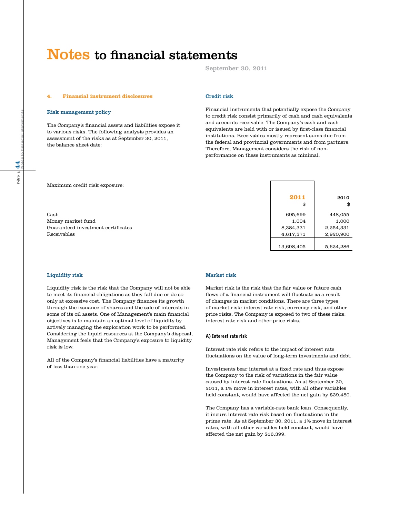September 30, 2011

#### **4. Financial instrument disclosures**

#### Risk management policy

The Company's financial assets and liabilities expose it to various risks. The following analysis provides an assessment of the risks as at September 30, 2011, the balance sheet date:

#### Credit risk

Financial instruments that potentially expose the Company to credit risk consist primarily of cash and cash equivalents and accounts receivable. The Company's cash and cash equivalents are held with or issued by first-class financial institutions. Receivables mostly represent sums due from the federal and provincial governments and from partners. Therefore, Management considers the risk of nonperformance on these instruments as minimal.

| Maximum credit risk exposure:      |            |           |
|------------------------------------|------------|-----------|
|                                    | 2011       | 2010      |
|                                    | \$         | \$        |
| Cash                               | 695,699    | 448,055   |
| Money market fund                  | 1,004      | 1,000     |
| Guaranteed investment certificates | 8,384,331  | 2,254,331 |
| Receivables                        | 4,617,371  | 2,920,900 |
|                                    |            |           |
|                                    | 13,698,405 | 5,624,286 |

#### Liquidity risk

Liquidity risk is the risk that the Company will not be able to meet its financial obligations as they fall due or do so only at excessive cost. The Company finances its growth through the issuance of shares and the sale of interests in some of its oil assets. One of Management's main financial objectives is to maintain an optimal level of liquidity by actively managing the exploration work to be performed. Considering the liquid resources at the Company's disposal, Management feels that the Company's exposure to liquidity risk is low.

All of the Company's financial liabilities have a maturity of less than one year.

#### Market risk

Market risk is the risk that the fair value or future cash flows of a financial instrument will fluctuate as a result of changes in market conditions. There are three types of market risk: interest rate risk, currency risk, and other price risks. The Company is exposed to two of these risks: interest rate risk and other price risks.

#### A) Interest rate risk

Interest rate risk refers to the impact of interest rate fluctuations on the value of long-term investments and debt.

Investments bear interest at a fixed rate and thus expose the Company to the risk of variations in the fair value caused by interest rate fluctuations. As at September 30, 2011, a 1% move in interest rates, with all other variables held constant, would have affected the net gain by \$39,480.

The Company has a variable-rate bank loan. Consequently, it incurs interest rate risk based on fluctuations in the prime rate. As at September 30, 2011, a 1% move in interest rates, with all other variables held constant, would have affected the net gain by \$16,399.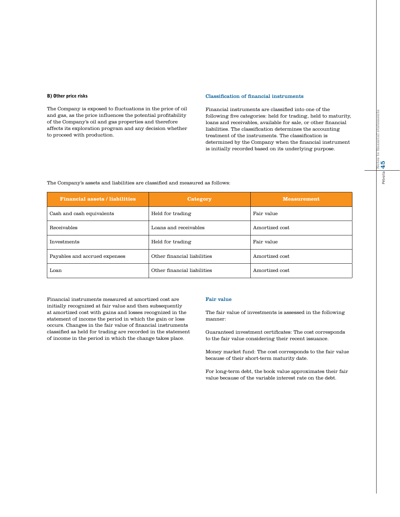#### B) Other price risks

The Company is exposed to fluctuations in the price of oil and gas, as the price influences the potential profitability of the Company's oil and gas properties and therefore affects its exploration program and any decision whether to proceed with production.

#### Classification of financial instruments

Financial instruments are classified into one of the following five categories: held for trading, held to maturity, loans and receivables, available for sale, or other financial liabilities. The classification determines the accounting treatment of the instruments. The classification is determined by the Company when the financial instrument is initially recorded based on its underlying purpose.

#### The Company's assets and liabilities are classified and measured as follows:

| <b>Financial assets / liabilities</b> | Category                    | <b>Measurement</b> |
|---------------------------------------|-----------------------------|--------------------|
| Cash and cash equivalents             | Held for trading            | Fair value         |
| Receivables                           | Loans and receivables       | Amortized cost     |
| Investments                           | Held for trading            | Fair value         |
| Payables and accrued expenses         | Other financial liabilities | Amortized cost     |
| Loan                                  | Other financial liabilities | Amortized cost     |

Financial instruments measured at amortized cost are initially recognized at fair value and then subsequently at amortized cost with gains and losses recognized in the statement of income the period in which the gain or loss occurs. Changes in the fair value of financial instruments classified as held for trading are recorded in the statement of income in the period in which the change takes place.

#### Fair value

The fair value of investments is assessed in the following manner:

Guaranteed investment certificates: The cost corresponds to the fair value considering their recent issuance.

Money market fund: The cost corresponds to the fair value because of their short-term maturity date.

For long-term debt, the book value approximates their fair value because of the variable interest rate on the debt.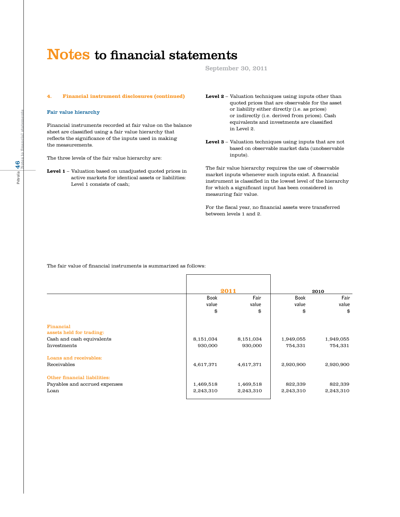September 30, 2011

#### **4. Financial instrument disclosures (continued)**

#### Fair value hierarchy

Financial instruments recorded at fair value on the balance sheet are classified using a fair value hierarchy that reflects the significance of the inputs used in making the measurements.

The three levels of the fair value hierarchy are:

**Level 1** – Valuation based on unadjusted quoted prices in active markets for identical assets or liabilities: Level 1 consists of cash;

- **Level 2** Valuation techniques using inputs other than quoted prices that are observable for the asset or liability either directly (i.e. as prices) or indirectly (i.e. derived from prices). Cash equivalents and investments are classified in Level 2.
- **Level 3** Valuation techniques using inputs that are not based on observable market data (unobservable inputs).

The fair value hierarchy requires the use of observable market inputs whenever such inputs exist. A financial instrument is classified in the lowest level of the hierarchy for which a significant input has been considered in measuring fair value.

For the fiscal year, no financial assets were transferred between levels 1 and 2.

The fair value of financial instruments is summarized as follows:

|                                          | Book<br>value<br>\$    | 2011<br>Fair<br>value<br>\$ | <b>Book</b><br>value<br>\$ | 2010<br>Fair<br>value<br>\$ |
|------------------------------------------|------------------------|-----------------------------|----------------------------|-----------------------------|
| Financial<br>assets held for trading:    |                        |                             |                            |                             |
| Cash and cash equivalents<br>Investments | 8,151,034<br>930,000   | 8,151,034<br>930,000        | 1,949,055<br>754,331       | 1,949,055<br>754,331        |
| Loans and receivables:<br>Receivables    | 4,617,371              | 4,617,371                   | 2,920,900                  | 2,920,900                   |
| Other financial liabilities:             |                        |                             |                            |                             |
| Payables and accrued expenses<br>Loan    | 1,469,518<br>2,243,310 | 1,469,518<br>2,243,310      | 822,339<br>2,243,310       | 822,339<br>2,243,310        |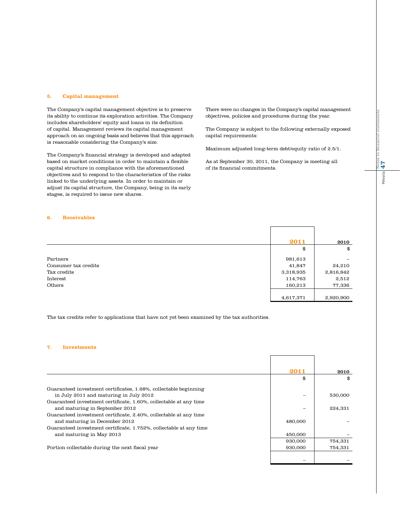#### **5. Capital management**

The Company's capital management objective is to preserve its ability to continue its exploration activities. The Company includes shareholders' equity and loans in its definition of capital. Management reviews its capital management approach on an ongoing basis and believes that this approach is reasonable considering the Company's size.

The Company's financial strategy is developed and adapted based on market conditions in order to maintain a flexible capital structure in compliance with the aforementioned objectives and to respond to the characteristics of the risks linked to the underlying assets. In order to maintain or adjust its capital structure, the Company, being in its early stages, is required to issue new shares.

There were no changes in the Company's capital management objectives, policies and procedures during the year.

The Company is subject to the following externally exposed capital requirements:

Maximum adjusted long-term debt/equity ratio of 2.5/1.

As at September 30, 2011, the Company is meeting all of its financial commitments.

 $\Gamma$ 

#### **6. Receivables**

|                      | 2011      | 2010      |
|----------------------|-----------|-----------|
|                      | \$        | \$        |
| Partners             | 981,613   |           |
| Consumer tax credits | 41,847    | 24,210    |
| Tax credits          | 3,318,935 | 2,816,842 |
| Interest             | 114,763   | 2,512     |
| Others               | 160,213   | 77,336    |
|                      |           |           |
|                      | 4,617,371 | 2,920,900 |

The tax credits refer to applications that have not yet been examined by the tax authorities.

#### **7. Investments**

|                                                                    | 2011    | 2010    |
|--------------------------------------------------------------------|---------|---------|
|                                                                    | \$      | \$      |
| Guaranteed investment certificates, 1.68%, collectable beginning   |         |         |
| in July 2011 and maturing in July 2012                             |         | 530,000 |
| Guaranteed investment certificate, 1.60%, collectable at any time  |         |         |
| and maturing in September 2012                                     |         | 224,331 |
| Guaranteed investment certificate, 2.40%, collectable at any time  |         |         |
| and maturing in December 2012                                      | 480,000 |         |
| Guaranteed investment certificate, 1.752%, collectable at any time |         |         |
| and maturing in May 2013                                           | 450,000 |         |
|                                                                    | 930,000 | 754,331 |
| Portion collectable during the next fiscal year                    | 930,000 | 754,331 |
|                                                                    |         |         |
|                                                                    |         |         |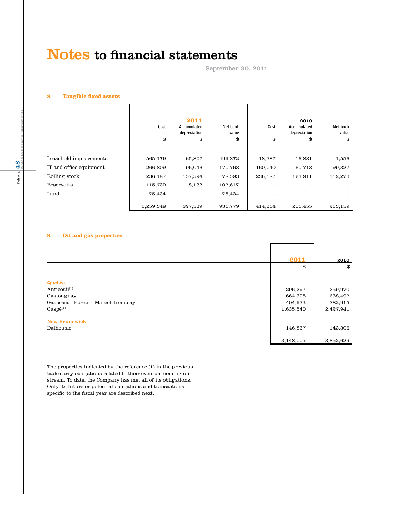September 30, 2011

#### **8. Tangible fixed assets**

|                         |           | 2011                        |                   |         | 2010                        |                   |
|-------------------------|-----------|-----------------------------|-------------------|---------|-----------------------------|-------------------|
|                         | Cost      | Accumulated<br>depreciation | Net book<br>value | Cost    | Accumulated<br>depreciation | Net book<br>value |
|                         | \$        | \$                          | \$                | \$      | \$                          | \$                |
|                         |           |                             |                   |         |                             |                   |
| Leasehold improvements  | 565,179   | 65,807                      | 499,372           | 18,387  | 16,831                      | 1,556             |
| IT and office equipment | 266,809   | 96,046                      | 170,763           | 160,040 | 60,713                      | 99,327            |
| Rolling stock           | 236,187   | 157,594                     | 78,593            | 236,187 | 123,911                     | 112,276           |
| Reservoirs              | 115,739   | 8,122                       | 107,617           |         |                             |                   |
| Land                    | 75,434    |                             | 75,434            | -       |                             |                   |
|                         | 1,259,348 | 327,569                     | 931,779           | 414.614 | 201,455                     | 213,159           |

#### **9. Oil and gas properties**

|                                    | 2011      | 2010      |
|------------------------------------|-----------|-----------|
|                                    | \$        | \$        |
|                                    |           |           |
| <b>Quebec</b>                      |           |           |
| Anticosti $(1)$                    | 296,297   | 259,970   |
| Gastonguay                         | 664,398   | 638,497   |
| Gaspésia - Edgar - Marcel-Tremblay | 404,933   | 382,915   |
| $Gaspé^{(1)}$                      | 1,635,540 | 2,427,941 |
| <b>New Brunswick</b>               |           |           |
|                                    |           |           |
| Dalhousie                          | 146,837   | 143,306   |
|                                    | 3,148,005 | 3,852,629 |

The properties indicated by the reference (1) in the previous table carry obligations related to their eventual coming on stream. To date, the Company has met all of its obligations. Only its future or potential obligations and transactions specific to the fiscal year are described next.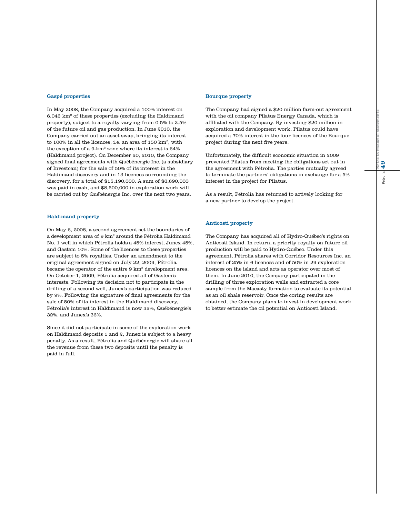#### Gaspé properties

In May 2008, the Company acquired a 100% interest on 6,043 km2 of these properties (excluding the Haldimand property), subject to a royalty varying from 0.5% to 2.5% of the future oil and gas production. In June 2010, the Company carried out an asset swap, bringing its interest to 100% in all the licences, i.e. an area of 150 km2, with the exception of a 9-km2 zone where its interest is 64% (Haldimand project). On December 20, 2010, the Company signed final agreements with Québénergie Inc. (a subsidiary of Investcan) for the sale of 50% of its interest in the Haldimand discovery and in 13 licences surrounding the discovery, for a total of \$15,190,000. A sum of \$6,690,000 was paid in cash, and \$8,500,000 in exploration work will be carried out by Québénergie Inc. over the next two years.

#### Haldimand property

On May 6, 2008, a second agreement set the boundaries of a development area of 9 km2 around the Pétrolia Haldimand No. 1 well in which Pétrolia holds a 45% interest, Junex 45%, and Gastem 10%. Some of the licences to these properties are subject to 5% royalties. Under an amendment to the original agreement signed on July 22, 2009, Pétrolia became the operator of the entire 9 km2 development area. On October 1, 2009, Pétrolia acquired all of Gastem's interests. Following its decision not to participate in the drilling of a second well, Junex's participation was reduced by 9%. Following the signature of final agreements for the sale of 50% of its interest in the Haldimand discovery, Pétrolia's interest in Haldimand is now 32%, Québénergie's 32%, and Junex's 36%.

Since it did not participate in some of the exploration work on Haldimand deposits 1 and 2, Junex is subject to a heavy penalty. As a result, Pétrolia and Québénergie will share all the revenue from these two deposits until the penalty is paid in full.

#### Bourque property

The Company had signed a \$20 million farm-out agreement with the oil company Pilatus Energy Canada, which is affiliated with the Company. By investing \$20 million in exploration and development work, Pilatus could have acquired a 70% interest in the four licences of the Bourque project during the next five years.

Unfortunately, the difficult economic situation in 2009 prevented Pilatus from meeting the obligations set out in the agreement with Pétrolia. The parties mutually agreed to terminate the partners' obligations in exchange for a 5% interest in the project for Pilatus.

As a result, Pétrolia has returned to actively looking for a new partner to develop the project.

#### Anticosti property

The Company has acquired all of Hydro-Québec's rights on Anticosti Island. In return, a priority royalty on future oil production will be paid to Hydro-Québec. Under this agreement, Pétrolia shares with Corridor Resources Inc. an interest of 25% in 6 licences and of 50% in 29 exploration licences on the island and acts as operator over most of them. In June 2010, the Company participated in the drilling of three exploration wells and extracted a core sample from the Macasty formation to evaluate its potential as an oil shale reservoir. Once the coring results are obtained, the Company plans to invest in development work to better estimate the oil potential on Anticosti Island.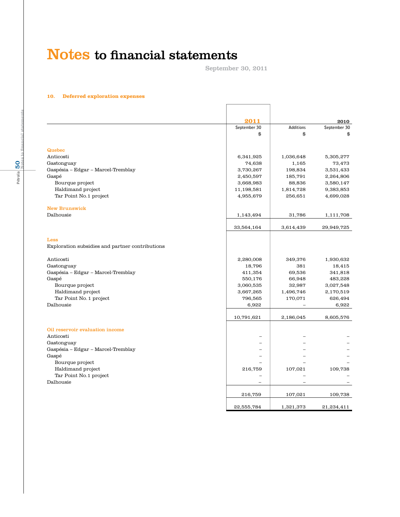September 30, 2011

#### **10. Deferred exploration expenses**

|                                                 | 2011                     |                  | 2010         |
|-------------------------------------------------|--------------------------|------------------|--------------|
|                                                 | September 30             | <b>Additions</b> | September 30 |
|                                                 | \$                       | \$               | \$           |
|                                                 |                          |                  |              |
| Quebec                                          |                          |                  |              |
| Anticosti                                       | 6,341,925                | 1,036,648        | 5,305,277    |
| Gastonguay                                      | 74,638                   | 1,165            | 73,473       |
| Gaspésia – Edgar – Marcel-Tremblay              | 3,730,267                | 198,834          | 3,531,433    |
| Gaspé                                           | 2,450,597                | 185,791          | 2,264,806    |
| Bourque project                                 | 3,668,983                | 88,836           | 3,580,147    |
| Haldimand project                               | 11,198,581               | 1,814,728        | 9,383,853    |
| Tar Point No.1 project                          | 4,955,679                | 256,651          | 4,699,028    |
| <b>New Brunswick</b>                            |                          |                  |              |
| Dalhousie                                       | 1,143,494                | 31,786           | 1,111,708    |
|                                                 | 33,564,164               | 3,614,439        | 29,949,725   |
| Less                                            |                          |                  |              |
| Exploration subsidies and partner contributions |                          |                  |              |
|                                                 |                          |                  |              |
| Anticosti                                       | 2,280,008                | 349,376          | 1,930,632    |
| Gastonguay                                      | 18,796                   | 381              | 18,415       |
| Gaspésia - Edgar - Marcel-Tremblay              | 411,354                  | 69,536           | 341,818      |
| Gaspé                                           | 550,176                  | 66,948           | 483,228      |
| Bourque project                                 | 3,060,535                | 32,987           | 3,027,548    |
| Haldimand project                               | 3,667,265                | 1,496,746        | 2,170,519    |
| Tar Point No. 1 project                         | 796,565                  | 170,071          | 626,494      |
| Dalhousie                                       | 6,922                    |                  | 6,922        |
|                                                 | 10,791,621               | 2,186,045        | 8,605,576    |
| Oil reservoir evaluation income                 |                          |                  |              |
| Anticosti                                       | $\overline{\phantom{0}}$ |                  |              |
| Gastonguay                                      |                          |                  |              |
| Gaspésia - Edgar - Marcel-Tremblay              |                          |                  |              |
| Gaspé                                           |                          |                  |              |
| Bourque project                                 |                          |                  |              |
| Haldimand project                               | 216,759                  | 107,021          | 109,738      |
| Tar Point No.1 project                          | $\overline{\phantom{0}}$ |                  |              |
| Dalhousie                                       |                          |                  |              |
|                                                 | 216,759                  | 107,021          | 109,738      |
|                                                 | 22,555,784               | 1,321,373        | 21,234,411   |
|                                                 |                          |                  |              |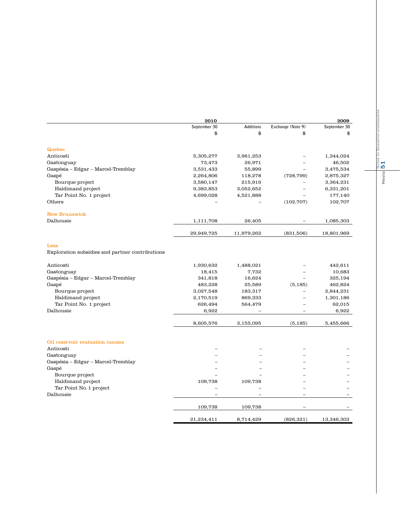|                                                 | 2010         |            |                          | 2009         |
|-------------------------------------------------|--------------|------------|--------------------------|--------------|
|                                                 | September 30 | Additions  | Exchange (Note 9)        | September 30 |
|                                                 | \$           | \$         | \$                       | \$           |
| Quebec                                          |              |            |                          |              |
| Anticosti                                       | 5,305,277    | 3,961,253  |                          | 1,344,024    |
| Gastonguay                                      | 73,473       | 26,971     |                          | 46,502       |
| Gaspésia – Edgar – Marcel-Tremblay              | 3,531,433    | 55,899     |                          | 3,475,534    |
| Gaspé                                           | 2,264,806    | 118,278    | (728, 799)               | 2,875,327    |
| Bourque project                                 | 3,580,147    | 215,916    |                          | 3,364,231    |
| Haldimand project                               | 9,383,853    | 3,052,652  | -                        | 6,331,201    |
| Tar Point No. 1 project                         | 4,699,028    | 4,521,888  |                          | 177,140      |
| Others                                          |              |            | (102, 707)               | 102,707      |
| <b>New Brunswick</b>                            |              |            |                          |              |
| Dalhousie                                       | 1,111,708    | 26,405     |                          | 1,085,303    |
|                                                 | 29,949,725   | 11,979,262 | (831,506)                | 18,801,969   |
| Less                                            |              |            |                          |              |
| Exploration subsidies and partner contributions |              |            |                          |              |
| Anticosti                                       | 1,930,632    | 1,488,021  |                          | 442,611      |
| Gastonguay                                      | 18,415       | 7,732      |                          | 10,683       |
| Gaspésia – Edgar – Marcel-Tremblay              | 341,818      | 16,624     | $\overline{\phantom{0}}$ | 325,194      |
| Gaspé                                           | 483,228      | 25,589     | (5, 185)                 | 462,824      |
| Bourque project                                 | 3,027,548    | 183,317    |                          | 2,844,231    |
| Haldimand project                               | 2,170,519    | 869,333    |                          | 1,301,186    |
| Tar Point No. 1 project                         | 626,494      | 564,479    |                          | 62,015       |
| Dalhousie                                       | 6,922        |            |                          | 6,922        |
|                                                 | 8,605,576    | 3,155,095  | (5, 185)                 | 5,455,666    |
| Oil reservoir evaluation income                 |              |            |                          |              |
| Anticosti                                       |              |            |                          |              |
| Gastonguay                                      |              |            |                          |              |
| Gaspésia – Edgar – Marcel-Tremblay              |              |            |                          |              |
| Gaspé                                           |              |            |                          |              |
| Bourque project                                 |              |            |                          |              |
| Haldimand project                               | 109,738      | 109,738    |                          |              |
| Tar Point No. 1 project                         |              |            |                          |              |
| Dalhousie                                       |              |            |                          |              |
|                                                 | 109,738      | 109,738    |                          |              |
|                                                 | 21,234,411   | 8,714,429  | (826, 321)               | 13,346,303   |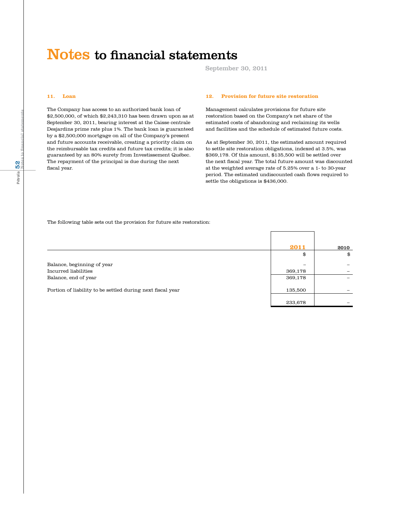September 30, 2011

 $233,678$  –  $-$ 

#### **11. Loan**

The Company has access to an authorized bank loan of \$2,500,000, of which \$2,243,310 has been drawn upon as at September 30, 2011, bearing interest at the Caisse centrale Desjardins prime rate plus 1%. The bank loan is guaranteed by a \$2,500,000 mortgage on all of the Company's present and future accounts receivable, creating a priority claim on the reimbursable tax credits and future tax credits; it is also guaranteed by an 80% surety from Investissement Québec. The repayment of the principal is due during the next fiscal year.

#### **12. Provision for future site restoration**

Management calculates provisions for future site restoration based on the Company's net share of the estimated costs of abandoning and reclaiming its wells and facilities and the schedule of estimated future costs.

As at September 30, 2011, the estimated amount required to settle site restoration obligations, indexed at 3.5%, was \$369,178. Of this amount, \$135,500 will be settled over the next fiscal year. The total future amount was discounted at the weighted average rate of 5.25% over a 1- to 30-year period. The estimated undiscounted cash flows required to settle the obligations is \$436,000.

 **2011** 2010 \$ \$

The following table sets out the provision for future site restoration:

Balance, beginning of year  $-$ Incurred liabilities 369,178 – Balance, end of year 369,178

Portion of liability to be settled during next fiscal year 135,500  $\,$  135,500  $\,$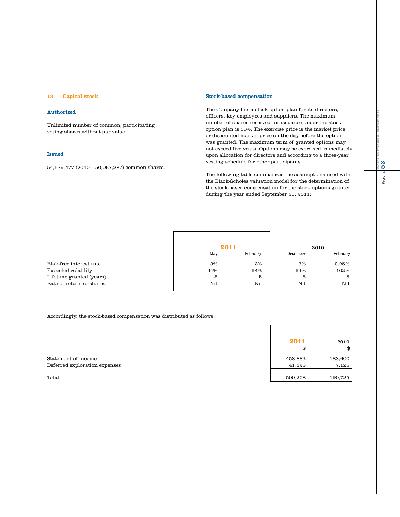#### **13. Capital stock**

#### Authorized

Unlimited number of common, participating, voting shares without par value.

#### Issued

54,579,477 (2010 – 50,067,287) common shares.

#### Stock-based compensation

The Company has a stock option plan for its directors, officers, key employees and suppliers. The maximum number of shares reserved for issuance under the stock option plan is 10%. The exercise price is the market price or discounted market price on the day before the option was granted. The maximum term of granted options may not exceed five years. Options may be exercised immediately upon allocation for directors and according to a three-year vesting schedule for other participants.

The following table summarizes the assumptions used with the Black-Scholes valuation model for the determination of the stock-based compensation for the stock options granted during the year ended September 30, 2011:

|                          |     | 2011     |          | 2010     |
|--------------------------|-----|----------|----------|----------|
|                          | May | February | December | February |
| Risk-free interest rate  | 3%  | 3%       | 3%       | 2.25%    |
| Expected volatility      | 94% | 94%      | 94%      | 102%     |
| Lifetime granted (years) | 5   | 5        | 5        | 5        |
| Rate of return of shares | Nil | Nil      | Nil      | Nil      |

#### Accordingly, the stock-based compensation was distributed as follows:

|                               | 2011    | 2010    |
|-------------------------------|---------|---------|
|                               | \$      | \$      |
| Statement of income           | 458,883 | 183,600 |
| Deferred exploration expenses | 41,325  | 7,125   |
|                               |         |         |
| Total                         | 500,208 | 190,725 |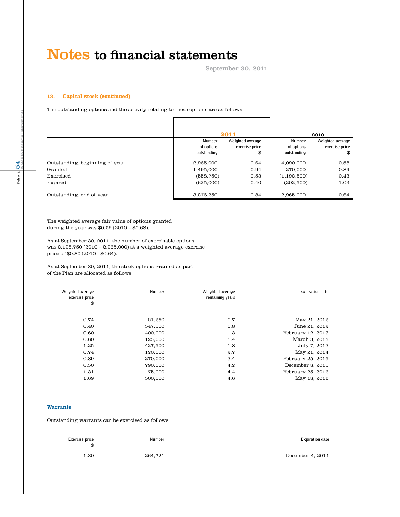September 30, 2011

#### **13. Capital stock (continued)**

The outstanding options and the activity relating to these options are as follows:

|                                                        |                                      | 2011                 |                                       | 2010                 |
|--------------------------------------------------------|--------------------------------------|----------------------|---------------------------------------|----------------------|
|                                                        | Number                               | Weighted average     | Number                                | Weighted average     |
|                                                        | of options                           | exercise price       | of options                            | exercise price       |
|                                                        | outstanding                          | \$                   | outstanding                           | \$                   |
| Outstanding, beginning of year<br>Granted<br>Exercised | 2,965,000<br>1,495,000<br>(558, 750) | 0.64<br>0.94<br>0.53 | 4,090,000<br>270,000<br>(1, 192, 500) | 0.58<br>0.89<br>0.43 |
| Expired                                                | (625,000)                            | 0.40                 | (202,500)                             | 1.03                 |
| Outstanding, end of year                               | 3.276.250                            | 0.84                 | 2.965.000                             | 0.64                 |

The weighted average fair value of options granted during the year was \$0.59 (2010 – \$0.68).

As at September 30, 2011, the number of exercisable options was 2,198,750 (2010 – 2,965,000) at a weighted average exercise price of \$0.80 (2010 - \$0.64).

As at September 30, 2011, the stock options granted as part of the Plan are allocated as follows:

| <b>Expiration date</b> | Weighted average | Number  | Weighted average |
|------------------------|------------------|---------|------------------|
|                        | remaining years  |         | exercise price   |
|                        |                  |         | \$               |
|                        |                  |         |                  |
| May 21, 2012           | 0.7              | 21,250  | 0.74             |
| June 21, 2012          | 0.8              | 547,500 | 0.40             |
| February 12, 2013      | 1.3              | 400,000 | 0.60             |
| March 3, 2013          | 1.4              | 125,000 | 0.60             |
| July 7, 2013           | 1.8              | 427,500 | 1.25             |
| May 21, 2014           | 2.7              | 120,000 | 0.74             |
| February 25, 2015      | 3.4              | 270,000 | 0.89             |
| December 8, 2015       | 4.2              | 790,000 | 0.50             |
| February 25, 2016      | 4.4              | 75,000  | 1.31             |
| May 18, 2016           | 4.6              | 500,000 | 1.69             |
|                        |                  |         |                  |

#### Warrants

Outstanding warrants can be exercised as follows:

| Exercise price<br>\$ | Number  | <b>Expiration date</b> |
|----------------------|---------|------------------------|
| 1.30                 | 264,721 | December 4, 2011       |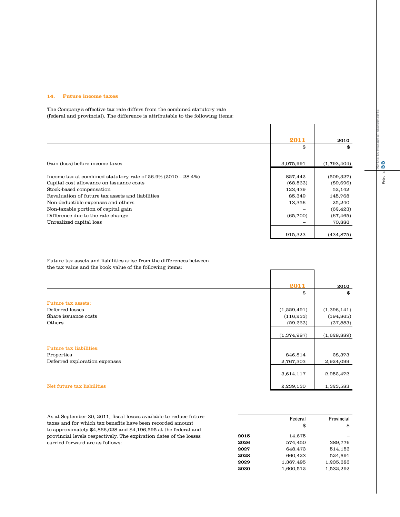#### **14. Future income taxes**

The Company's effective tax rate differs from the combined statutory rate (federal and provincial). The difference is attributable to the following items:

|                                                                  | 2011      | 2010        |
|------------------------------------------------------------------|-----------|-------------|
|                                                                  | \$        | \$          |
| Gain (loss) before income taxes                                  | 3,075,991 | (1,793,404) |
| Income tax at combined statutory rate of $26.9\%$ (2010 – 28.4%) | 827,442   | (509, 327)  |
| Capital cost allowance on issuance costs                         | (68, 563) | (89, 696)   |
| Stock-based compensation                                         | 123,439   | 52,142      |
| Revaluation of future tax assets and liabilities                 | 85,349    | 145,768     |
| Non-deductible expenses and others                               | 13,356    | 25,240      |
| Non-taxable portion of capital gain                              |           | (62, 423)   |
| Difference due to the rate change                                | (65,700)  | (67, 465)   |
| Unrealized capital loss                                          |           | 70,886      |
|                                                                  | 915,323   | (434,875)   |

 $\Gamma$ 

Future tax assets and liabilities arise from the differences between the tax value and the book value of the following items:

|                                | 2011        | 2010        |
|--------------------------------|-------------|-------------|
|                                | \$          | \$          |
| <b>Future tax assets:</b>      |             |             |
| Deferred losses                | (1,229,491) | (1,396,141) |
| Share issuance costs           | (116, 233)  | (194, 865)  |
| Others                         | (29, 263)   | (37, 883)   |
|                                | (1,374,987) | (1,628,889) |
| <b>Future tax liabilities:</b> |             |             |
| Properties                     | 846,814     | 28,373      |
| Deferred exploration expenses  | 2,767,303   | 2,924,099   |
|                                | 3,614,117   | 2,952,472   |
| Net future tax liabilities     | 2,239,130   | 1,323,583   |

As at September 30, 2011, fiscal losses available to reduce future taxes and for which tax benefits have been recorded amount to approximately \$4,866,028 and \$4,196,595 at the federal and provincial levels respectively. The expiration dates of the losses carried forward are as follows:

|      | Federal   | Provincial |
|------|-----------|------------|
|      | \$        | \$         |
| 2015 | 14,675    |            |
| 2026 | 574.450   | 389,776    |
| 2027 | 648.473   | 514,153    |
| 2028 | 660.423   | 524,691    |
| 2029 | 1.367.495 | 1.235.683  |
| 2030 | 1.600.512 | 1,532,292  |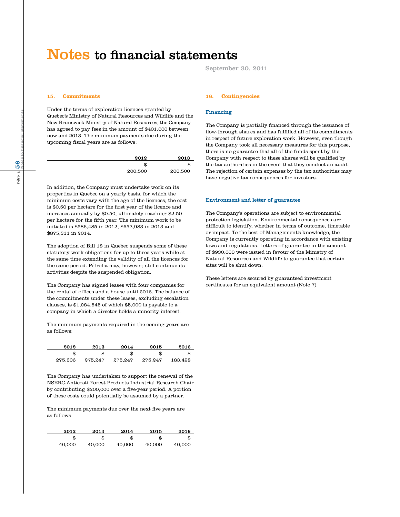**15. Commitments**

Under the terms of exploration licences granted by Quebec's Ministry of Natural Resources and Wildlife and the New Brunswick Ministry of Natural Resources, the Company has agreed to pay fees in the amount of \$401,000 between now and 2013. The minimum payments due during the upcoming fiscal years are as follows:

| 2012    | 2013    |
|---------|---------|
| æ       | Ð       |
| 200,500 | 200,500 |

In addition, the Company must undertake work on its properties in Quebec on a yearly basis, for which the minimum costs vary with the age of the licences; the cost is \$0.50 per hectare for the first year of the licence and increases annually by \$0.50, ultimately reaching \$2.50 per hectare for the fifth year. The minimum work to be initiated is \$586,485 in 2012, \$653,983 in 2013 and \$875,311 in 2014.

The adoption of Bill 18 in Quebec suspends some of these statutory work obligations for up to three years while at the same time extending the validity of all the licences for the same period. Pétrolia may, however, still continue its activities despite the suspended obligation.

The Company has signed leases with four companies for the rental of offices and a house until 2016. The balance of the commitments under these leases, excluding escalation clauses, is \$1,284,545 of which \$5,000 is payable to a company in which a director holds a minority interest.

The minimum payments required in the coming years are as follows:

| 2012    | 2013    | 2014    | 2015    | 2016    |
|---------|---------|---------|---------|---------|
|         |         |         |         |         |
| 275.306 | 275.247 | 275.247 | 275.247 | 183.498 |

The Company has undertaken to support the renewal of the NSERC-Anticosti Forest Products Industrial Research Chair by contributing \$200,000 over a five-year period. A portion of these costs could potentially be assumed by a partner.

The minimum payments due over the next five years are as follows:

| 2012   | 2013   | 2014   | 2015   | 2016   |
|--------|--------|--------|--------|--------|
|        | \$     |        | \$     |        |
| 40.000 | 40.000 | 40.000 | 40.000 | 40.000 |

September 30, 2011

#### **16. Contingencies**

#### Financing

The Company is partially financed through the issuance of flow-through shares and has fulfilled all of its commitments in respect of future exploration work. However, even though the Company took all necessary measures for this purpose, there is no guarantee that all of the funds spent by the Company with respect to these shares will be qualified by the tax authorities in the event that they conduct an audit. The rejection of certain expenses by the tax authorities may have negative tax consequences for investors.

#### Environment and letter of guarantee

The Company's operations are subject to environmental protection legislation. Environmental consequences are difficult to identify, whether in terms of outcome, timetable or impact. To the best of Management's knowledge, the Company is currently operating in accordance with existing laws and regulations. Letters of guarantee in the amount of \$930,000 were issued in favour of the Ministry of Natural Resources and Wildlife to guarantee that certain sites will be shut down.

These letters are secured by guaranteed investment certificates for an equivalent amount (Note 7).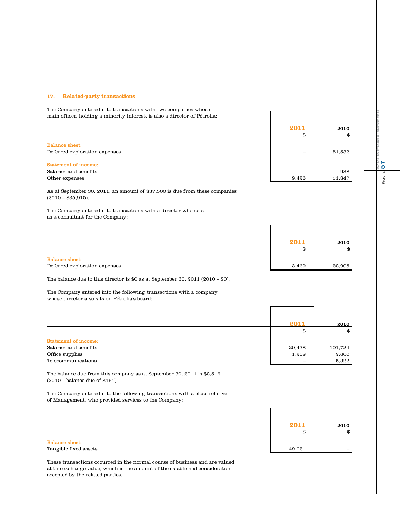#### **17. Related-party transactions**

main officer, holding a minority interest, is also a director of Pétrolia: **2011** 2010 \$ \$ Balance sheet: Deferred exploration expenses – 51,532 Statement of income: Salaries and benefits  $\sim$  938 Other expenses 8, 11,847

As at September 30, 2011, an amount of \$37,500 is due from these companies  $(2010 - $35,915)$ .

The Company entered into transactions with a director who acts as a consultant for the Company:

The Company entered into transactions with two companies whose



The balance due to this director is \$0 as at September 30, 2011 (2010 – \$0).

The Company entered into the following transactions with a company whose director also sits on Pétrolia's board:

|                             | 2011   | 2010    |
|-----------------------------|--------|---------|
|                             | \$     | \$      |
| <b>Statement of income:</b> |        |         |
| Salaries and benefits       | 20,438 | 101,724 |
| Office supplies             | 1,208  | 2,600   |
| Telecommunications          |        | 5,322   |

The balance due from this company as at September 30, 2011 is \$2,516 (2010 – balance due of \$161).

The Company entered into the following transactions with a close relative of Management, who provided services to the Company:



These transactions occurred in the normal course of business and are valued at the exchange value, which is the amount of the established consideration accepted by the related parties.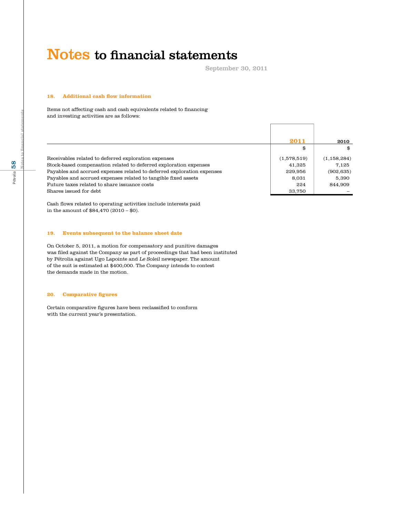September 30, 2011

#### **18. Additional cash flow information**

Items not affecting cash and cash equivalents related to financing and investing activities are as follows:

|                                                                        | 2011        | 2010          |
|------------------------------------------------------------------------|-------------|---------------|
|                                                                        | \$          | \$            |
| Receivables related to deferred exploration expenses                   | (1,578,519) | (1, 158, 284) |
| Stock-based compensation related to deferred exploration expenses      | 41.325      | 7.125         |
| Payables and accrued expenses related to deferred exploration expenses | 229,956     | (902, 635)    |
| Payables and accrued expenses related to tangible fixed assets         | 8,031       | 5.390         |
| Future taxes related to share issuance costs                           | 224         | 844.909       |
| Shares issued for debt                                                 | 33,750      |               |

Cash flows related to operating activities include interests paid in the amount of \$84,470 (2010 – \$0).

#### **19. Events subsequent to the balance sheet date**

On October 5, 2011, a motion for compensatory and punitive damages was filed against the Company as part of proceedings that had been instituted by Pétrolia against Ugo Lapointe and Le Soleil newspaper. The amount of the suit is estimated at \$400,000. The Company intends to contest the demands made in the motion.

#### **20. Comparative figures**

Certain comparative figures have been reclassified to conform with the current year's presentation.

**Notes to financial statements**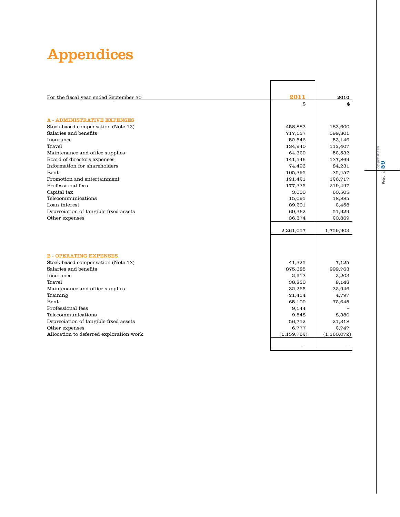# Appendices

| 2011<br>For the fiscal year ended September 30<br>2010<br>\$<br>\$<br><b>A - ADMINISTRATIVE EXPENSES</b><br>Stock-based compensation (Note 13)<br>458,883<br>183,600<br>Salaries and benefits<br>717,137<br>599,801<br>Insurance<br>52,546<br>53,146<br>Travel<br>134,940<br>112,407<br>Maintenance and office supplies<br>64,329<br>52,532<br>Board of directors expenses<br>137,869<br>141,546<br>Information for shareholders<br>74,493<br>84,231<br>Rent<br>105,395<br>35,457<br>Promotion and entertainment<br>121,421<br>126,717<br>Professional fees<br>177,335<br>219,497<br>Capital tax<br>3,000<br>60,505<br>Telecommunications<br>18,885<br>15,095<br>Loan interest<br>89,201<br>2,458<br>Depreciation of tangible fixed assets<br>69,362<br>51,929<br>Other expenses<br>36,374<br>20,869<br>2,261,057<br>1,759,903<br><b>B-OPERATING EXPENSES</b><br>Stock-based compensation (Note 13)<br>41,325<br>7,125<br>Salaries and benefits<br>875,685<br>999,763<br>Insurance<br>2,203<br>2,913<br>Travel<br>38,830<br>8,148<br>Maintenance and office supplies<br>32,265<br>32,946<br>Training<br>4,797<br>21,414<br>Rent.<br>65,109<br>72,645<br>Professional fees<br>9,144<br>Telecommunications<br>9,548<br>8,380<br>Depreciation of tangible fixed assets<br>21,318<br>56,752<br>Other expenses<br>6,777<br>2,747<br>Allocation to deferred exploration work<br>(1, 159, 762)<br>(1, 160, 072) |  |  |
|----------------------------------------------------------------------------------------------------------------------------------------------------------------------------------------------------------------------------------------------------------------------------------------------------------------------------------------------------------------------------------------------------------------------------------------------------------------------------------------------------------------------------------------------------------------------------------------------------------------------------------------------------------------------------------------------------------------------------------------------------------------------------------------------------------------------------------------------------------------------------------------------------------------------------------------------------------------------------------------------------------------------------------------------------------------------------------------------------------------------------------------------------------------------------------------------------------------------------------------------------------------------------------------------------------------------------------------------------------------------------------------------------------|--|--|
|                                                                                                                                                                                                                                                                                                                                                                                                                                                                                                                                                                                                                                                                                                                                                                                                                                                                                                                                                                                                                                                                                                                                                                                                                                                                                                                                                                                                          |  |  |
|                                                                                                                                                                                                                                                                                                                                                                                                                                                                                                                                                                                                                                                                                                                                                                                                                                                                                                                                                                                                                                                                                                                                                                                                                                                                                                                                                                                                          |  |  |
|                                                                                                                                                                                                                                                                                                                                                                                                                                                                                                                                                                                                                                                                                                                                                                                                                                                                                                                                                                                                                                                                                                                                                                                                                                                                                                                                                                                                          |  |  |
|                                                                                                                                                                                                                                                                                                                                                                                                                                                                                                                                                                                                                                                                                                                                                                                                                                                                                                                                                                                                                                                                                                                                                                                                                                                                                                                                                                                                          |  |  |
|                                                                                                                                                                                                                                                                                                                                                                                                                                                                                                                                                                                                                                                                                                                                                                                                                                                                                                                                                                                                                                                                                                                                                                                                                                                                                                                                                                                                          |  |  |
|                                                                                                                                                                                                                                                                                                                                                                                                                                                                                                                                                                                                                                                                                                                                                                                                                                                                                                                                                                                                                                                                                                                                                                                                                                                                                                                                                                                                          |  |  |
|                                                                                                                                                                                                                                                                                                                                                                                                                                                                                                                                                                                                                                                                                                                                                                                                                                                                                                                                                                                                                                                                                                                                                                                                                                                                                                                                                                                                          |  |  |
|                                                                                                                                                                                                                                                                                                                                                                                                                                                                                                                                                                                                                                                                                                                                                                                                                                                                                                                                                                                                                                                                                                                                                                                                                                                                                                                                                                                                          |  |  |
|                                                                                                                                                                                                                                                                                                                                                                                                                                                                                                                                                                                                                                                                                                                                                                                                                                                                                                                                                                                                                                                                                                                                                                                                                                                                                                                                                                                                          |  |  |
|                                                                                                                                                                                                                                                                                                                                                                                                                                                                                                                                                                                                                                                                                                                                                                                                                                                                                                                                                                                                                                                                                                                                                                                                                                                                                                                                                                                                          |  |  |
|                                                                                                                                                                                                                                                                                                                                                                                                                                                                                                                                                                                                                                                                                                                                                                                                                                                                                                                                                                                                                                                                                                                                                                                                                                                                                                                                                                                                          |  |  |
|                                                                                                                                                                                                                                                                                                                                                                                                                                                                                                                                                                                                                                                                                                                                                                                                                                                                                                                                                                                                                                                                                                                                                                                                                                                                                                                                                                                                          |  |  |
|                                                                                                                                                                                                                                                                                                                                                                                                                                                                                                                                                                                                                                                                                                                                                                                                                                                                                                                                                                                                                                                                                                                                                                                                                                                                                                                                                                                                          |  |  |
|                                                                                                                                                                                                                                                                                                                                                                                                                                                                                                                                                                                                                                                                                                                                                                                                                                                                                                                                                                                                                                                                                                                                                                                                                                                                                                                                                                                                          |  |  |
|                                                                                                                                                                                                                                                                                                                                                                                                                                                                                                                                                                                                                                                                                                                                                                                                                                                                                                                                                                                                                                                                                                                                                                                                                                                                                                                                                                                                          |  |  |
|                                                                                                                                                                                                                                                                                                                                                                                                                                                                                                                                                                                                                                                                                                                                                                                                                                                                                                                                                                                                                                                                                                                                                                                                                                                                                                                                                                                                          |  |  |
|                                                                                                                                                                                                                                                                                                                                                                                                                                                                                                                                                                                                                                                                                                                                                                                                                                                                                                                                                                                                                                                                                                                                                                                                                                                                                                                                                                                                          |  |  |
|                                                                                                                                                                                                                                                                                                                                                                                                                                                                                                                                                                                                                                                                                                                                                                                                                                                                                                                                                                                                                                                                                                                                                                                                                                                                                                                                                                                                          |  |  |
|                                                                                                                                                                                                                                                                                                                                                                                                                                                                                                                                                                                                                                                                                                                                                                                                                                                                                                                                                                                                                                                                                                                                                                                                                                                                                                                                                                                                          |  |  |
|                                                                                                                                                                                                                                                                                                                                                                                                                                                                                                                                                                                                                                                                                                                                                                                                                                                                                                                                                                                                                                                                                                                                                                                                                                                                                                                                                                                                          |  |  |
|                                                                                                                                                                                                                                                                                                                                                                                                                                                                                                                                                                                                                                                                                                                                                                                                                                                                                                                                                                                                                                                                                                                                                                                                                                                                                                                                                                                                          |  |  |
|                                                                                                                                                                                                                                                                                                                                                                                                                                                                                                                                                                                                                                                                                                                                                                                                                                                                                                                                                                                                                                                                                                                                                                                                                                                                                                                                                                                                          |  |  |
|                                                                                                                                                                                                                                                                                                                                                                                                                                                                                                                                                                                                                                                                                                                                                                                                                                                                                                                                                                                                                                                                                                                                                                                                                                                                                                                                                                                                          |  |  |
|                                                                                                                                                                                                                                                                                                                                                                                                                                                                                                                                                                                                                                                                                                                                                                                                                                                                                                                                                                                                                                                                                                                                                                                                                                                                                                                                                                                                          |  |  |
|                                                                                                                                                                                                                                                                                                                                                                                                                                                                                                                                                                                                                                                                                                                                                                                                                                                                                                                                                                                                                                                                                                                                                                                                                                                                                                                                                                                                          |  |  |
|                                                                                                                                                                                                                                                                                                                                                                                                                                                                                                                                                                                                                                                                                                                                                                                                                                                                                                                                                                                                                                                                                                                                                                                                                                                                                                                                                                                                          |  |  |
|                                                                                                                                                                                                                                                                                                                                                                                                                                                                                                                                                                                                                                                                                                                                                                                                                                                                                                                                                                                                                                                                                                                                                                                                                                                                                                                                                                                                          |  |  |
|                                                                                                                                                                                                                                                                                                                                                                                                                                                                                                                                                                                                                                                                                                                                                                                                                                                                                                                                                                                                                                                                                                                                                                                                                                                                                                                                                                                                          |  |  |
|                                                                                                                                                                                                                                                                                                                                                                                                                                                                                                                                                                                                                                                                                                                                                                                                                                                                                                                                                                                                                                                                                                                                                                                                                                                                                                                                                                                                          |  |  |
|                                                                                                                                                                                                                                                                                                                                                                                                                                                                                                                                                                                                                                                                                                                                                                                                                                                                                                                                                                                                                                                                                                                                                                                                                                                                                                                                                                                                          |  |  |
|                                                                                                                                                                                                                                                                                                                                                                                                                                                                                                                                                                                                                                                                                                                                                                                                                                                                                                                                                                                                                                                                                                                                                                                                                                                                                                                                                                                                          |  |  |
|                                                                                                                                                                                                                                                                                                                                                                                                                                                                                                                                                                                                                                                                                                                                                                                                                                                                                                                                                                                                                                                                                                                                                                                                                                                                                                                                                                                                          |  |  |
|                                                                                                                                                                                                                                                                                                                                                                                                                                                                                                                                                                                                                                                                                                                                                                                                                                                                                                                                                                                                                                                                                                                                                                                                                                                                                                                                                                                                          |  |  |
|                                                                                                                                                                                                                                                                                                                                                                                                                                                                                                                                                                                                                                                                                                                                                                                                                                                                                                                                                                                                                                                                                                                                                                                                                                                                                                                                                                                                          |  |  |
|                                                                                                                                                                                                                                                                                                                                                                                                                                                                                                                                                                                                                                                                                                                                                                                                                                                                                                                                                                                                                                                                                                                                                                                                                                                                                                                                                                                                          |  |  |
|                                                                                                                                                                                                                                                                                                                                                                                                                                                                                                                                                                                                                                                                                                                                                                                                                                                                                                                                                                                                                                                                                                                                                                                                                                                                                                                                                                                                          |  |  |
|                                                                                                                                                                                                                                                                                                                                                                                                                                                                                                                                                                                                                                                                                                                                                                                                                                                                                                                                                                                                                                                                                                                                                                                                                                                                                                                                                                                                          |  |  |